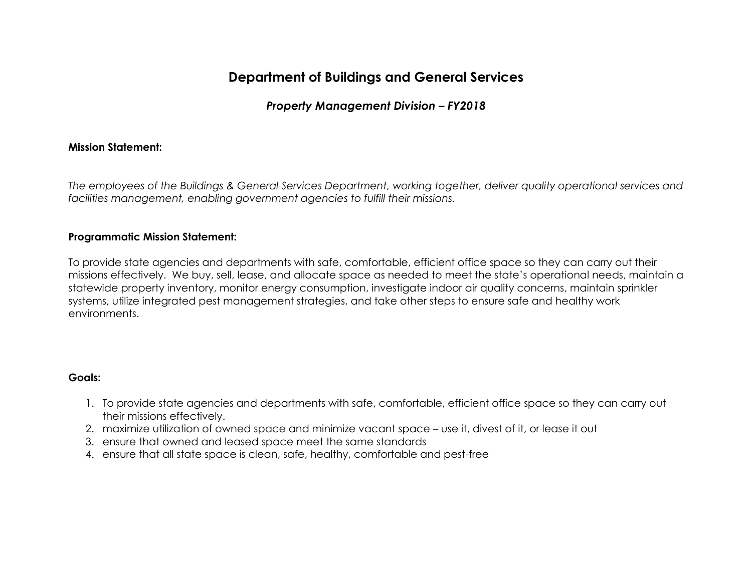# **Department of Buildings and General Services**

# *Property Management Division – FY2018*

#### **Mission Statement:**

*The employees of the Buildings & General Services Department, working together, deliver quality operational services and facilities management, enabling government agencies to fulfill their missions.*

#### **Programmatic Mission Statement:**

To provide state agencies and departments with safe, comfortable, efficient office space so they can carry out their missions effectively. We buy, sell, lease, and allocate space as needed to meet the state's operational needs, maintain a statewide property inventory, monitor energy consumption, investigate indoor air quality concerns, maintain sprinkler systems, utilize integrated pest management strategies, and take other steps to ensure safe and healthy work environments.

#### **Goals:**

- 1. To provide state agencies and departments with safe, comfortable, efficient office space so they can carry out their missions effectively.
- 2. maximize utilization of owned space and minimize vacant space use it, divest of it, or lease it out
- 3. ensure that owned and leased space meet the same standards
- 4. ensure that all state space is clean, safe, healthy, comfortable and pest-free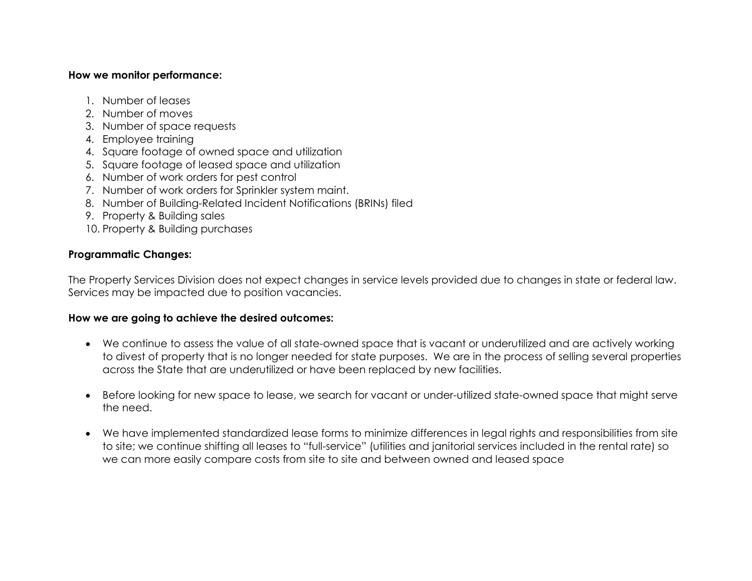#### **How we monitor performance:**

- 1. Number of leases
- 2. Number of moves
- 3. Number of space requests
- 4. Employee training
- 4. Square footage of owned space and utilization
- 5. Square footage of leased space and utilization
- 6. Number of work orders for pest control
- 7. Number of work orders for Sprinkler system maint.
- 8. Number of Building-Related Incident Notifications (BRINs) filed
- 9. Property & Building sales
- 10. Property & Building purchases

### **Programmatic Changes:**

The Property Services Division does not expect changes in service levels provided due to changes in state or federal law. Services may be impacted due to position vacancies.

### **How we are going to achieve the desired outcomes:**

- We continue to assess the value of all state-owned space that is vacant or underutilized and are actively working to divest of property that is no longer needed for state purposes. We are in the process of selling several properties across the State that are underutilized or have been replaced by new facilities.
- Before looking for new space to lease, we search for vacant or under-utilized state-owned space that might serve the need.
- We have implemented standardized lease forms to minimize differences in legal rights and responsibilities from site to site; we continue shifting all leases to "full-service" (utilities and janitorial services included in the rental rate) so we can more easily compare costs from site to site and between owned and leased space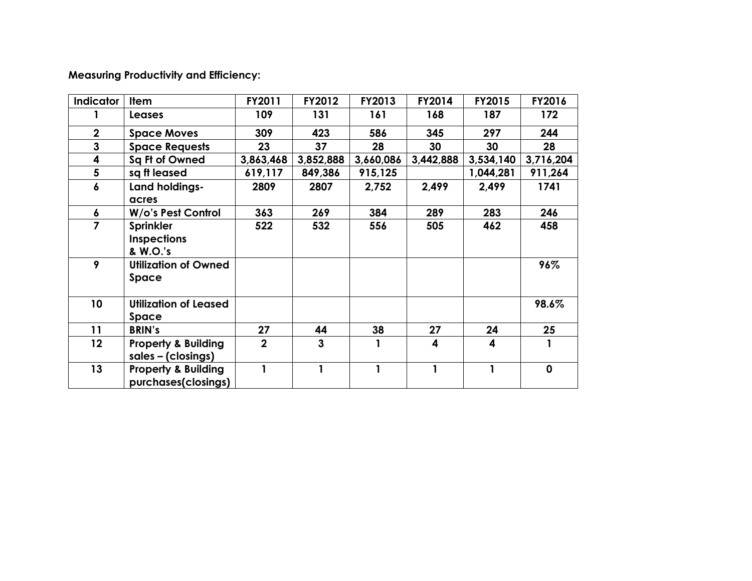**Measuring Productivity and Efficiency:** 

| <b>Indicator</b> | <b>Item</b>                                           | FY2011         | FY2012    | FY2013    | FY2014    | FY2015    | FY2016      |
|------------------|-------------------------------------------------------|----------------|-----------|-----------|-----------|-----------|-------------|
|                  | <b>Leases</b>                                         | 109            | 131       | 161       | 168       | 187       | 172         |
| $\mathbf 2$      | <b>Space Moves</b>                                    | 309            | 423       | 586       | 345       | 297       | 244         |
| 3                | <b>Space Requests</b>                                 | 23             | 37        | 28        | 30        | 30        | 28          |
| 4                | Sq Ft of Owned                                        | 3,863,468      | 3,852,888 | 3,660,086 | 3,442,888 | 3,534,140 | 3,716,204   |
| 5                | sq ft leased                                          | 619,117        | 849,386   | 915,125   |           | 1,044,281 | 911,264     |
| 6                | Land holdings-<br>acres                               | 2809           | 2807      | 2,752     | 2,499     | 2,499     | 1741        |
| 6                | W/o's Pest Control                                    | 363            | 269       | 384       | 289       | 283       | 246         |
| 7                | <b>Sprinkler</b><br><b>Inspections</b><br>& W.O.'s    | 522            | 532       | 556       | 505       | 462       | 458         |
| 9                | <b>Utilization of Owned</b><br>Space                  |                |           |           |           |           | 96%         |
| 10               | <b>Utilization of Leased</b><br>Space                 |                |           |           |           |           | 98.6%       |
| 11               | <b>BRIN's</b>                                         | 27             | 44        | 38        | 27        | 24        | 25          |
| $12 \,$          | <b>Property &amp; Building</b><br>sales - (closings)  | $\overline{2}$ | 3         |           | 4         | 4         |             |
| 13               | <b>Property &amp; Building</b><br>purchases(closings) | 1              | 1         |           | 1         | 1         | $\mathbf 0$ |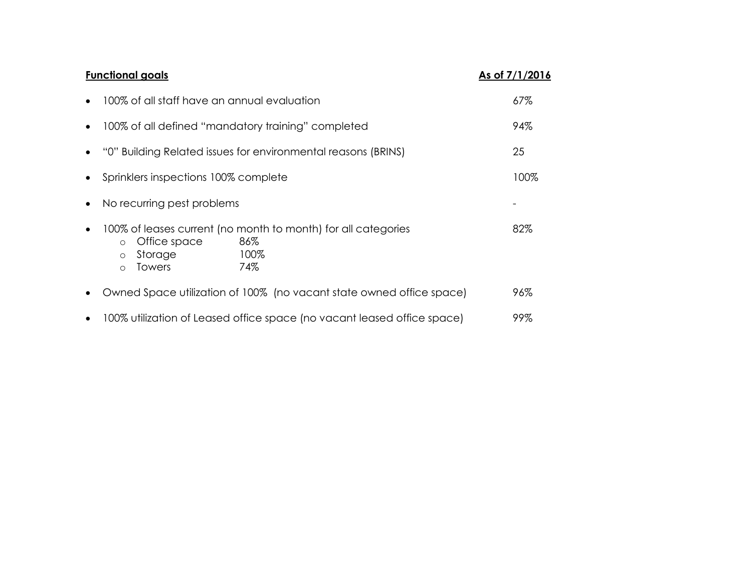|           | <b>Functional goals</b>                                                                                                                                   | As of 7/1/2016 |
|-----------|-----------------------------------------------------------------------------------------------------------------------------------------------------------|----------------|
|           | 100% of all staff have an annual evaluation                                                                                                               | 67%            |
| $\bullet$ | 100% of all defined "mandatory training" completed                                                                                                        | 94%            |
|           | "0" Building Related issues for environmental reasons (BRINS)                                                                                             | 25             |
| $\bullet$ | Sprinklers inspections 100% complete                                                                                                                      | 100%           |
| $\bullet$ | No recurring pest problems                                                                                                                                |                |
|           | 100% of leases current (no month to month) for all categories<br>86%<br>Office space<br>$\circ$<br>100%<br>Storage<br>$\circ$<br>74%<br>Towers<br>$\circ$ | 82%            |
| $\bullet$ | Owned Space utilization of 100% (no vacant state owned office space)                                                                                      | 96%            |
|           | 100% utilization of Leased office space (no vacant leased office space)                                                                                   | 99%            |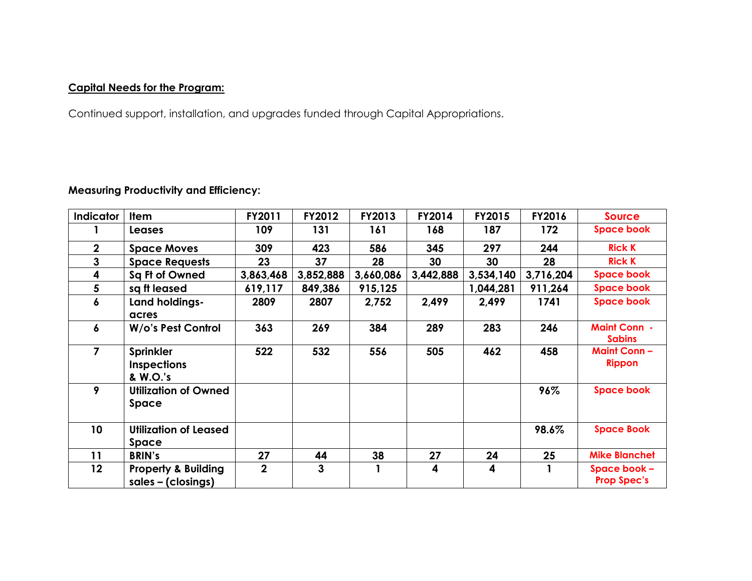# **Capital Needs for the Program:**

Continued support, installation, and upgrades funded through Capital Appropriations.

## **Measuring Productivity and Efficiency:**

| <b>Indicator</b> | <b>Item</b>                                           | FY2011      | FY2012    | <b>FY2013</b> | FY2014                  | FY2015    | FY2016    | <b>Source</b>                        |
|------------------|-------------------------------------------------------|-------------|-----------|---------------|-------------------------|-----------|-----------|--------------------------------------|
|                  | <b>Leases</b>                                         | 109         | 131       | 161           | 168                     | 187       | 172       | <b>Space book</b>                    |
| $\mathbf{2}$     | <b>Space Moves</b>                                    | 309         | 423       | 586           | 345                     | 297       | 244       | <b>Rick K</b>                        |
| 3                | <b>Space Requests</b>                                 | 23          | 37        | 28            | 30                      | 30        | 28        | <b>Rick K</b>                        |
| 4                | Sq Ft of Owned                                        | 3,863,468   | 3,852,888 | 3,660,086     | 3,442,888               | 3,534,140 | 3,716,204 | <b>Space book</b>                    |
| 5                | sq ft leased                                          | 619,117     | 849,386   | 915,125       |                         | 1,044,281 | 911,264   | <b>Space book</b>                    |
| 6                | Land holdings-                                        | 2809        | 2807      | 2,752         | 2,499                   | 2,499     | 1741      | <b>Space book</b>                    |
|                  | acres                                                 |             |           |               |                         |           |           |                                      |
| 6                | W/o's Pest Control                                    | 363         | 269       | 384           | 289                     | 283       | 246       | <b>Maint Conn -</b><br><b>Sabins</b> |
| $\overline{7}$   | <b>Sprinkler</b><br><b>Inspections</b><br>& W.O.'s    | 522         | 532       | 556           | 505                     | 462       | 458       | <b>Maint Conn-</b><br><b>Rippon</b>  |
| 9                | <b>Utilization of Owned</b><br>Space                  |             |           |               |                         |           | 96%       | <b>Space book</b>                    |
| 10 <sup>°</sup>  | <b>Utilization of Leased</b><br><b>Space</b>          |             |           |               |                         |           | 98.6%     | <b>Space Book</b>                    |
| 11               | <b>BRIN's</b>                                         | 27          | 44        | 38            | 27                      | 24        | 25        | <b>Mike Blanchet</b>                 |
| 12               | <b>Property &amp; Building</b><br>$sales - (closing)$ | $\mathbf 2$ | 3         | $\mathbf{1}$  | $\overline{\mathbf{4}}$ | 4         |           | Space book -<br><b>Prop Spec's</b>   |